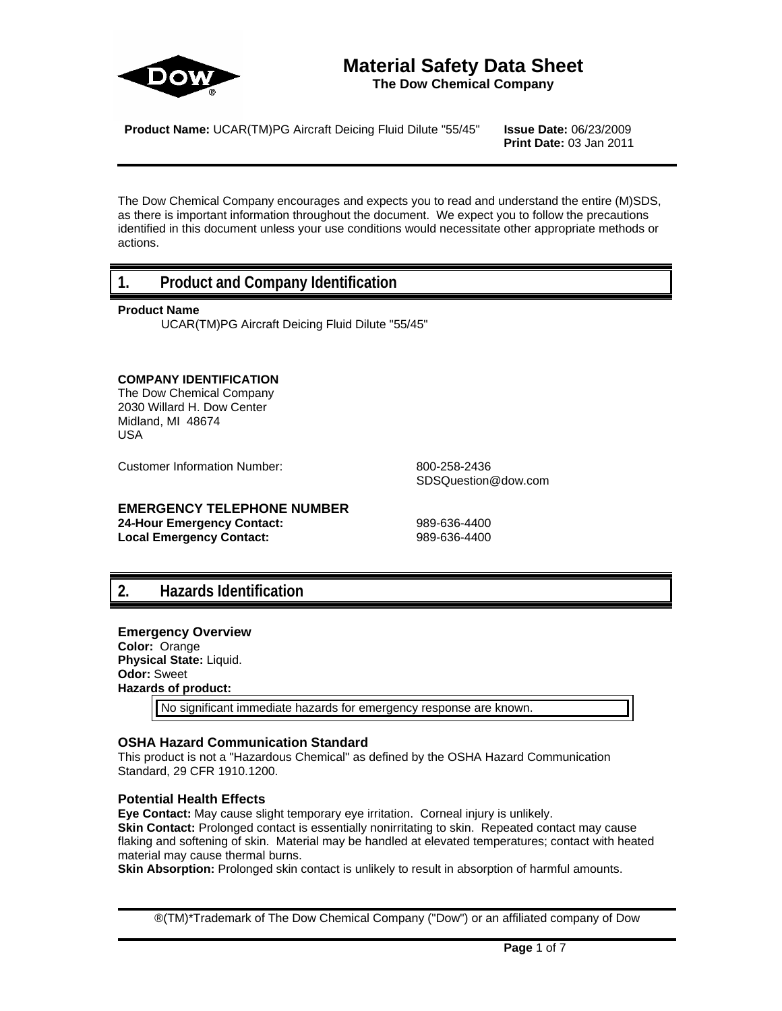

# **Material Safety Data Sheet**

**The Dow Chemical Company**

**Product Name:** UCAR(TM)PG Aircraft Deicing Fluid Dilute "55/45" **Issue Date:** 06/23/2009

**Print Date:** 03 Jan 2011

The Dow Chemical Company encourages and expects you to read and understand the entire (M)SDS, as there is important information throughout the document. We expect you to follow the precautions identified in this document unless your use conditions would necessitate other appropriate methods or actions.

### **1. Product and Company Identification**

#### **Product Name**

UCAR(TM)PG Aircraft Deicing Fluid Dilute "55/45"

#### **COMPANY IDENTIFICATION**

The Dow Chemical Company 2030 Willard H. Dow Center Midland, MI 48674 USA

Customer Information Number: 800-258-2436

SDSQuestion@dow.com

### **EMERGENCY TELEPHONE NUMBER**

**24-Hour Emergency Contact:** 989-636-4400 Local Emergency Contact: 989-636-4400

### **2. Hazards Identification**

#### **Emergency Overview Color:** Orange **Physical State:** Liquid.

**Odor:** Sweet **Hazards of product:**

No significant immediate hazards for emergency response are known.

#### **OSHA Hazard Communication Standard**

This product is not a "Hazardous Chemical" as defined by the OSHA Hazard Communication Standard, 29 CFR 1910.1200.

#### **Potential Health Effects**

**Eye Contact:** May cause slight temporary eye irritation. Corneal injury is unlikely.

**Skin Contact:** Prolonged contact is essentially nonirritating to skin. Repeated contact may cause flaking and softening of skin. Material may be handled at elevated temperatures; contact with heated material may cause thermal burns.

**Skin Absorption:** Prolonged skin contact is unlikely to result in absorption of harmful amounts.

®(TM)\*Trademark of The Dow Chemical Company ("Dow") or an affiliated company of Dow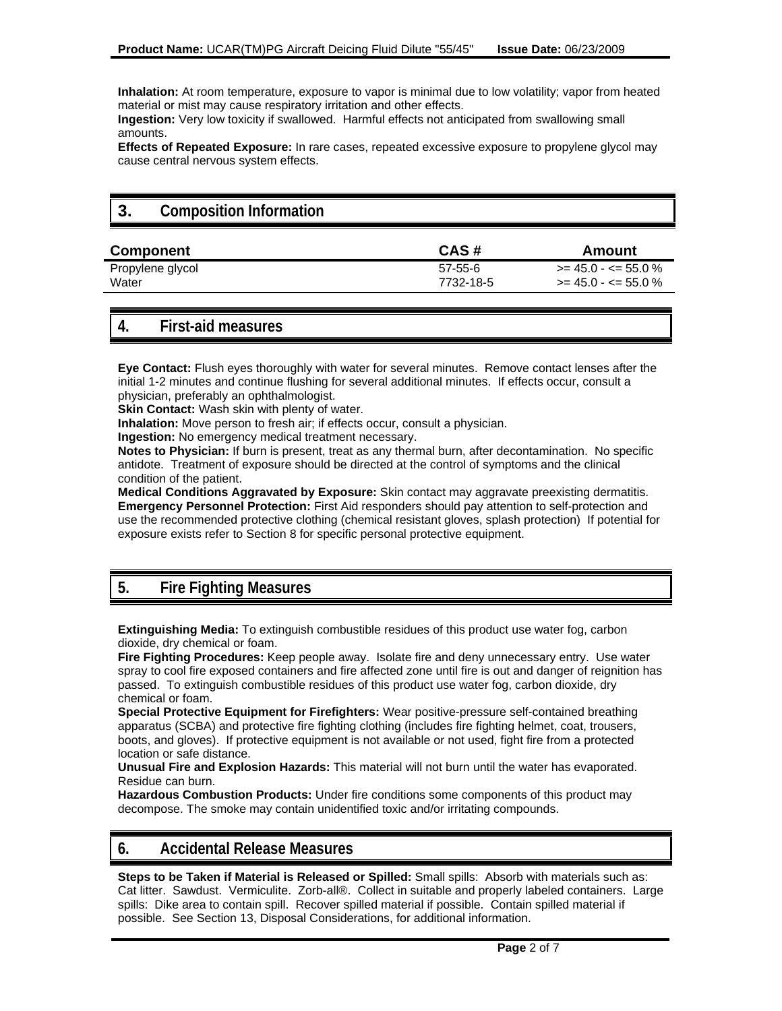**Inhalation:** At room temperature, exposure to vapor is minimal due to low volatility; vapor from heated material or mist may cause respiratory irritation and other effects.

**Ingestion:** Very low toxicity if swallowed. Harmful effects not anticipated from swallowing small amounts.

**Effects of Repeated Exposure:** In rare cases, repeated excessive exposure to propylene glycol may cause central nervous system effects.

## **3. Composition Information**

| <b>Component</b> | CAS#      | Amount                        |
|------------------|-----------|-------------------------------|
| Propylene glycol | 57-55-6   | $\ge$ = 45.0 - $\le$ = 55.0 % |
| Water            | 7732-18-5 | $\ge$ = 45.0 - $\le$ = 55.0 % |

### **4. First-aid measures**

**Eye Contact:** Flush eyes thoroughly with water for several minutes. Remove contact lenses after the initial 1-2 minutes and continue flushing for several additional minutes. If effects occur, consult a physician, preferably an ophthalmologist.

**Skin Contact:** Wash skin with plenty of water.

**Inhalation:** Move person to fresh air; if effects occur, consult a physician.

**Ingestion:** No emergency medical treatment necessary.

**Notes to Physician:** If burn is present, treat as any thermal burn, after decontamination. No specific antidote. Treatment of exposure should be directed at the control of symptoms and the clinical condition of the patient.

**Medical Conditions Aggravated by Exposure:** Skin contact may aggravate preexisting dermatitis. **Emergency Personnel Protection:** First Aid responders should pay attention to self-protection and use the recommended protective clothing (chemical resistant gloves, splash protection) If potential for exposure exists refer to Section 8 for specific personal protective equipment.

### **5. Fire Fighting Measures**

**Extinguishing Media:** To extinguish combustible residues of this product use water fog, carbon dioxide, dry chemical or foam.

**Fire Fighting Procedures:** Keep people away. Isolate fire and deny unnecessary entry. Use water spray to cool fire exposed containers and fire affected zone until fire is out and danger of reignition has passed. To extinguish combustible residues of this product use water fog, carbon dioxide, dry chemical or foam.

**Special Protective Equipment for Firefighters:** Wear positive-pressure self-contained breathing apparatus (SCBA) and protective fire fighting clothing (includes fire fighting helmet, coat, trousers, boots, and gloves). If protective equipment is not available or not used, fight fire from a protected location or safe distance.

**Unusual Fire and Explosion Hazards:** This material will not burn until the water has evaporated. Residue can burn.

**Hazardous Combustion Products:** Under fire conditions some components of this product may decompose. The smoke may contain unidentified toxic and/or irritating compounds.

### **6. Accidental Release Measures**

**Steps to be Taken if Material is Released or Spilled:** Small spills: Absorb with materials such as: Cat litter. Sawdust. Vermiculite. Zorb-all®. Collect in suitable and properly labeled containers. Large spills: Dike area to contain spill. Recover spilled material if possible. Contain spilled material if possible. See Section 13, Disposal Considerations, for additional information.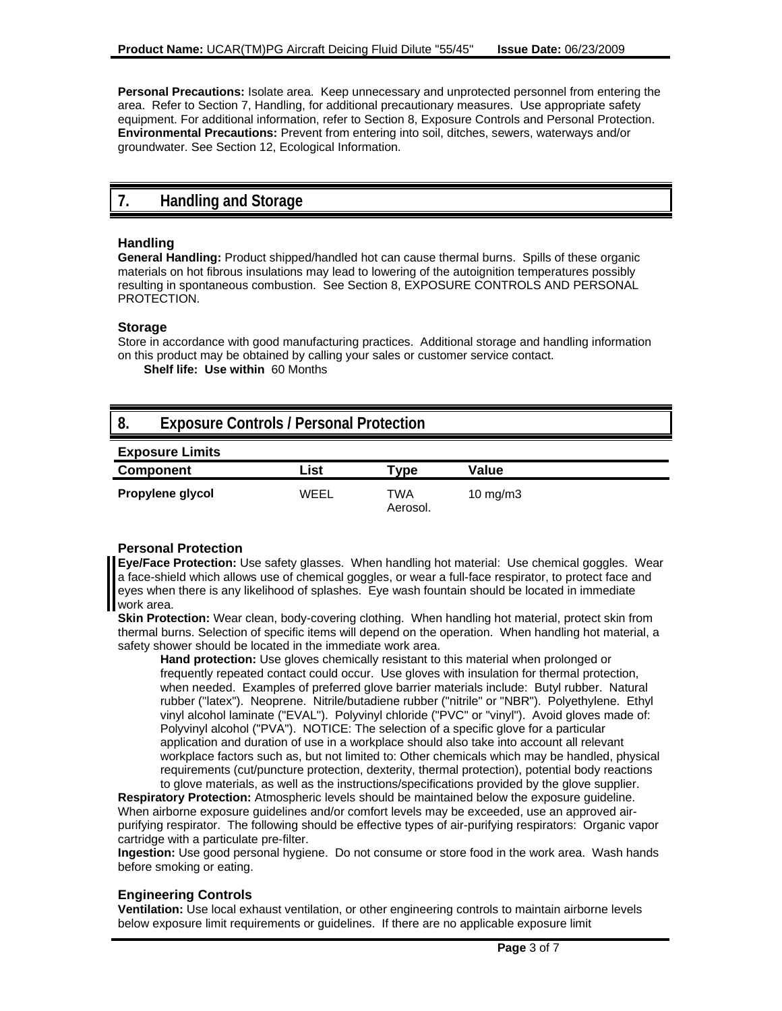**Personal Precautions:** Isolate area. Keep unnecessary and unprotected personnel from entering the area. Refer to Section 7, Handling, for additional precautionary measures. Use appropriate safety equipment. For additional information, refer to Section 8, Exposure Controls and Personal Protection. **Environmental Precautions:** Prevent from entering into soil, ditches, sewers, waterways and/or groundwater. See Section 12, Ecological Information.

### **7. Handling and Storage**

#### **Handling**

**General Handling:** Product shipped/handled hot can cause thermal burns. Spills of these organic materials on hot fibrous insulations may lead to lowering of the autoignition temperatures possibly resulting in spontaneous combustion. See Section 8, EXPOSURE CONTROLS AND PERSONAL PROTECTION.

#### **Storage**

Store in accordance with good manufacturing practices. Additional storage and handling information on this product may be obtained by calling your sales or customer service contact.

**Shelf life: Use within** 60 Months

### **8. Exposure Controls / Personal Protection**

| <b>Exposure Limits</b> |      |                                  |                   |  |
|------------------------|------|----------------------------------|-------------------|--|
| <b>Component</b>       | List | $\mathsf{V}\mathsf{D}\mathsf{e}$ | Value             |  |
| Propylene glycol       | WEEL | TWA<br>Aerosol.                  | $10 \text{ mg/m}$ |  |

#### **Personal Protection**

**Eye/Face Protection:** Use safety glasses. When handling hot material: Use chemical goggles. Wear a face-shield which allows use of chemical goggles, or wear a full-face respirator, to protect face and eyes when there is any likelihood of splashes. Eye wash fountain should be located in immediate work area.

**Skin Protection:** Wear clean, body-covering clothing. When handling hot material, protect skin from thermal burns. Selection of specific items will depend on the operation. When handling hot material, a safety shower should be located in the immediate work area.

**Hand protection:** Use gloves chemically resistant to this material when prolonged or frequently repeated contact could occur. Use gloves with insulation for thermal protection, when needed. Examples of preferred glove barrier materials include: Butyl rubber. Natural rubber ("latex"). Neoprene. Nitrile/butadiene rubber ("nitrile" or "NBR"). Polyethylene. Ethyl vinyl alcohol laminate ("EVAL"). Polyvinyl chloride ("PVC" or "vinyl"). Avoid gloves made of: Polyvinyl alcohol ("PVA"). NOTICE: The selection of a specific glove for a particular application and duration of use in a workplace should also take into account all relevant workplace factors such as, but not limited to: Other chemicals which may be handled, physical requirements (cut/puncture protection, dexterity, thermal protection), potential body reactions to glove materials, as well as the instructions/specifications provided by the glove supplier.

**Respiratory Protection:** Atmospheric levels should be maintained below the exposure guideline. When airborne exposure guidelines and/or comfort levels may be exceeded, use an approved airpurifying respirator. The following should be effective types of air-purifying respirators: Organic vapor cartridge with a particulate pre-filter.

**Ingestion:** Use good personal hygiene. Do not consume or store food in the work area. Wash hands before smoking or eating.

#### **Engineering Controls**

**Ventilation:** Use local exhaust ventilation, or other engineering controls to maintain airborne levels below exposure limit requirements or guidelines. If there are no applicable exposure limit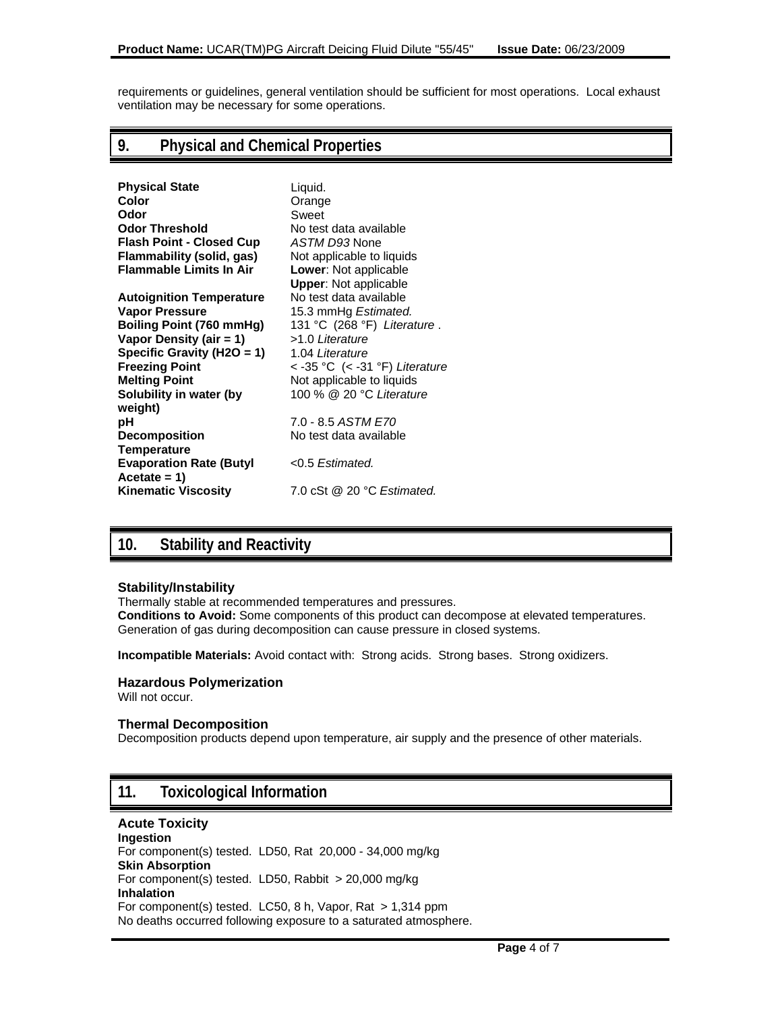requirements or guidelines, general ventilation should be sufficient for most operations. Local exhaust ventilation may be necessary for some operations.

### **9. Physical and Chemical Properties**

| <b>Physical State</b>           | Liquid.                        |
|---------------------------------|--------------------------------|
| Color                           | Orange                         |
| Odor                            | Sweet                          |
| <b>Odor Threshold</b>           | No test data available         |
| <b>Flash Point - Closed Cup</b> | ASTM D93 None                  |
| Flammability (solid, gas)       | Not applicable to liquids      |
| <b>Flammable Limits In Air</b>  | <b>Lower: Not applicable</b>   |
|                                 | <b>Upper: Not applicable</b>   |
| <b>Autoignition Temperature</b> | No test data available         |
| <b>Vapor Pressure</b>           | 15.3 mmHg Estimated.           |
| Boiling Point (760 mmHg)        | 131 °C (268 °F) Literature.    |
| Vapor Density (air = 1)         | >1.0 Literature                |
| Specific Gravity (H2O = 1)      | 1.04 Literature                |
| <b>Freezing Point</b>           | < -35 °C (< -31 °F) Literature |
| <b>Melting Point</b>            | Not applicable to liquids      |
| Solubility in water (by         | 100 % @ 20 °C Literature       |
| weight)                         |                                |
| рH                              | 7.0 - 8.5 ASTM E70             |
| <b>Decomposition</b>            | No test data available         |
| <b>Temperature</b>              |                                |
| <b>Evaporation Rate (Butyl</b>  | $<$ 0.5 Estimated.             |
| $Accetate = 1$                  |                                |
| <b>Kinematic Viscosity</b>      | 7.0 cSt @ 20 °C Estimated.     |

### **10. Stability and Reactivity**

#### **Stability/Instability**

Thermally stable at recommended temperatures and pressures. **Conditions to Avoid:** Some components of this product can decompose at elevated temperatures. Generation of gas during decomposition can cause pressure in closed systems.

**Incompatible Materials:** Avoid contact with: Strong acids. Strong bases. Strong oxidizers.

#### **Hazardous Polymerization**

Will not occur.

#### **Thermal Decomposition**

Decomposition products depend upon temperature, air supply and the presence of other materials.

### **11. Toxicological Information**

**Acute Toxicity Ingestion**  For component(s) tested. LD50, Rat 20,000 - 34,000 mg/kg **Skin Absorption**  For component(s) tested. LD50, Rabbit > 20,000 mg/kg **Inhalation**  For component(s) tested. LC50, 8 h, Vapor, Rat > 1,314 ppm No deaths occurred following exposure to a saturated atmosphere.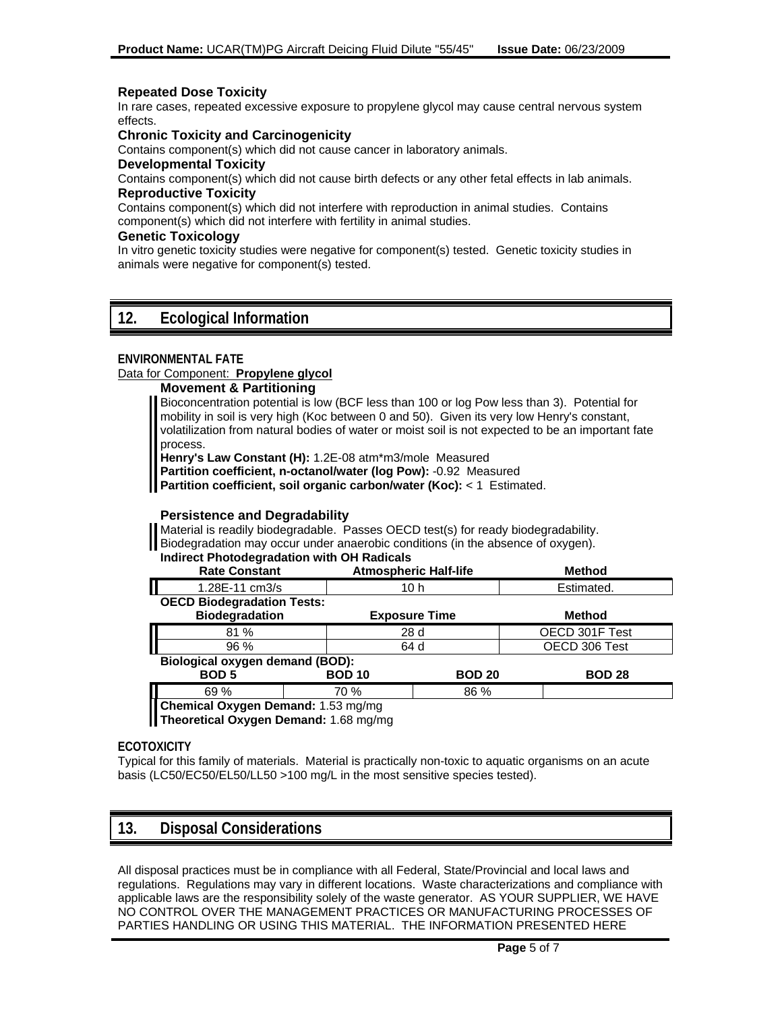#### **Repeated Dose Toxicity**

In rare cases, repeated excessive exposure to propylene glycol may cause central nervous system effects.

#### **Chronic Toxicity and Carcinogenicity**

Contains component(s) which did not cause cancer in laboratory animals.

#### **Developmental Toxicity**

Contains component(s) which did not cause birth defects or any other fetal effects in lab animals. **Reproductive Toxicity**

Contains component(s) which did not interfere with reproduction in animal studies. Contains component(s) which did not interfere with fertility in animal studies.

#### **Genetic Toxicology**

In vitro genetic toxicity studies were negative for component(s) tested. Genetic toxicity studies in animals were negative for component(s) tested.

### **12. Ecological Information**

#### **ENVIRONMENTAL FATE**

#### Data for Component: **Propylene glycol**

**Movement & Partitioning** 

Bioconcentration potential is low (BCF less than 100 or log Pow less than 3). Potential for mobility in soil is very high (Koc between 0 and 50). Given its very low Henry's constant, volatilization from natural bodies of water or moist soil is not expected to be an important fate process.

**Henry's Law Constant (H):** 1.2E-08 atm\*m3/mole Measured

**Partition coefficient, n-octanol/water (log Pow):** -0.92 Measured

**Partition coefficient, soil organic carbon/water (Koc):** < 1 Estimated.

#### **Persistence and Degradability**

Material is readily biodegradable. Passes OECD test(s) for ready biodegradability. Biodegradation may occur under anaerobic conditions (in the absence of oxygen).

#### **Indirect Photodegradation with OH Radicals**

| <b>Rate Constant</b>              |               | <b>Atmospheric Half-life</b> | <b>Method</b>  |  |
|-----------------------------------|---------------|------------------------------|----------------|--|
| П<br>1.28E-11 cm3/s               |               | 10 h                         | Estimated.     |  |
| <b>OECD Biodegradation Tests:</b> |               |                              |                |  |
| <b>Biodegradation</b>             |               | <b>Exposure Time</b>         | <b>Method</b>  |  |
| 81 %                              |               | 28 d                         | OECD 301F Test |  |
| $96\%$                            |               | 64 d                         | OECD 306 Test  |  |
| Biological oxygen demand (BOD):   |               |                              |                |  |
| <b>BOD 5</b>                      | <b>BOD 10</b> | <b>BOD 20</b>                | <b>BOD 28</b>  |  |
| I.,<br>69 %                       | 70 %          | 86 %                         |                |  |
|                                   |               |                              |                |  |

**Chemical Oxygen Demand:** 1.53 mg/mg

**Theoretical Oxygen Demand:** 1.68 mg/mg

#### **ECOTOXICITY**

Typical for this family of materials. Material is practically non-toxic to aquatic organisms on an acute basis (LC50/EC50/EL50/LL50 >100 mg/L in the most sensitive species tested).

### **13. Disposal Considerations**

All disposal practices must be in compliance with all Federal, State/Provincial and local laws and regulations. Regulations may vary in different locations. Waste characterizations and compliance with applicable laws are the responsibility solely of the waste generator. AS YOUR SUPPLIER, WE HAVE NO CONTROL OVER THE MANAGEMENT PRACTICES OR MANUFACTURING PROCESSES OF PARTIES HANDLING OR USING THIS MATERIAL. THE INFORMATION PRESENTED HERE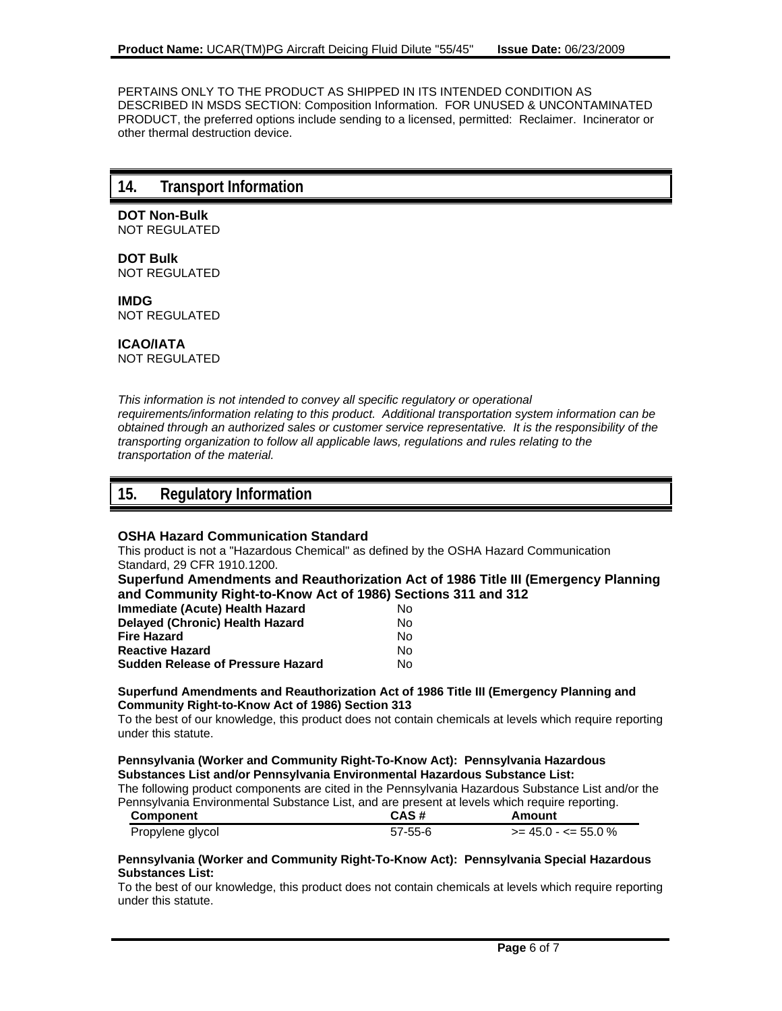PERTAINS ONLY TO THE PRODUCT AS SHIPPED IN ITS INTENDED CONDITION AS DESCRIBED IN MSDS SECTION: Composition Information. FOR UNUSED & UNCONTAMINATED PRODUCT, the preferred options include sending to a licensed, permitted: Reclaimer. Incinerator or other thermal destruction device.

### **14. Transport Information**

**DOT Non-Bulk** NOT REGULATED

**DOT Bulk** NOT REGULATED

**IMDG** NOT REGULATED

**ICAO/IATA**

NOT REGULATED

*This information is not intended to convey all specific regulatory or operational requirements/information relating to this product. Additional transportation system information can be obtained through an authorized sales or customer service representative. It is the responsibility of the transporting organization to follow all applicable laws, regulations and rules relating to the transportation of the material.*

### **15. Regulatory Information**

#### **OSHA Hazard Communication Standard**

This product is not a "Hazardous Chemical" as defined by the OSHA Hazard Communication Standard, 29 CFR 1910.1200.

**Superfund Amendments and Reauthorization Act of 1986 Title III (Emergency Planning and Community Right-to-Know Act of 1986) Sections 311 and 312**

| Immediate (Acute) Health Hazard          | Nο |
|------------------------------------------|----|
| <b>Delayed (Chronic) Health Hazard</b>   | N٥ |
| Fire Hazard                              | N٥ |
| <b>Reactive Hazard</b>                   | N٥ |
| <b>Sudden Release of Pressure Hazard</b> | N٥ |

#### **Superfund Amendments and Reauthorization Act of 1986 Title III (Emergency Planning and Community Right-to-Know Act of 1986) Section 313**

To the best of our knowledge, this product does not contain chemicals at levels which require reporting under this statute.

#### **Pennsylvania (Worker and Community Right-To-Know Act): Pennsylvania Hazardous Substances List and/or Pennsylvania Environmental Hazardous Substance List:**

The following product components are cited in the Pennsylvania Hazardous Substance List and/or the Pennsylvania Environmental Substance List, and are present at levels which require reporting.

| Component        | CAS#          | Amount                        |
|------------------|---------------|-------------------------------|
| Propylene glycol | $57 - 55 - 6$ | $\ge$ = 45.0 - $\lt$ = 55.0 % |

#### **Pennsylvania (Worker and Community Right-To-Know Act): Pennsylvania Special Hazardous Substances List:**

To the best of our knowledge, this product does not contain chemicals at levels which require reporting under this statute.